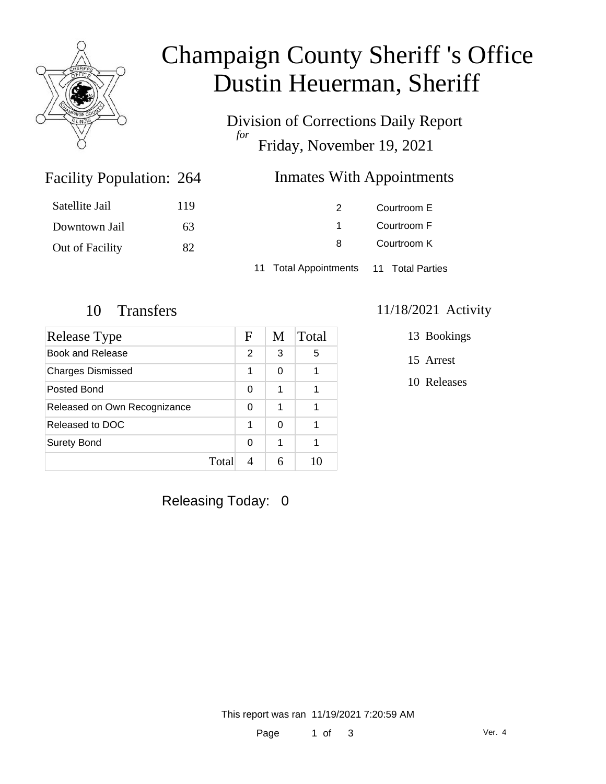

# Champaign County Sheriff 's Office Dustin Heuerman, Sheriff

Division of Corrections Daily Report *for* Friday, November 19, 2021

### Inmates With Appointments

| Satellite Jail  | 119 |                                        | Courtroom E |  |
|-----------------|-----|----------------------------------------|-------------|--|
| Downtown Jail   | 63  |                                        | Courtroom F |  |
| Out of Facility | 82  | 8                                      | Courtroom K |  |
|                 |     | 11 Total Appointments 11 Total Parties |             |  |

Facility Population: 264

| Release Type                 | F     | M | Total |
|------------------------------|-------|---|-------|
| Book and Release             | 2     | 3 | 5     |
| <b>Charges Dismissed</b>     | 1     | 0 |       |
| Posted Bond                  | 0     | 1 |       |
| Released on Own Recognizance | 0     | 1 |       |
| Released to DOC              | 1     | 0 |       |
| <b>Surety Bond</b>           | 0     | 1 |       |
|                              | Total |   |       |

#### 10 Transfers 11/18/2021 Activity

13 Bookings

15 Arrest

10 Releases

Releasing Today: 0

This report was ran 11/19/2021 7:20:59 AM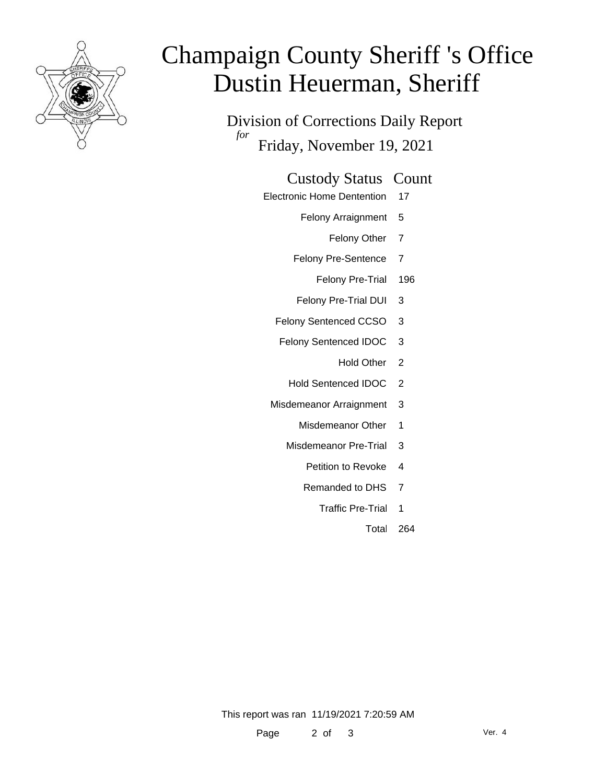

# Champaign County Sheriff 's Office Dustin Heuerman, Sheriff

Division of Corrections Daily Report *for* Friday, November 19, 2021

#### Custody Status Count

- Electronic Home Dentention 17
	- Felony Arraignment 5
		- Felony Other 7
	- Felony Pre-Sentence 7
		- Felony Pre-Trial 196
	- Felony Pre-Trial DUI 3
	- Felony Sentenced CCSO 3
	- Felony Sentenced IDOC 3
		- Hold Other 2
		- Hold Sentenced IDOC 2
	- Misdemeanor Arraignment 3
		- Misdemeanor Other 1
		- Misdemeanor Pre-Trial 3
			- Petition to Revoke 4
			- Remanded to DHS 7
				- Traffic Pre-Trial 1
					- Total 264